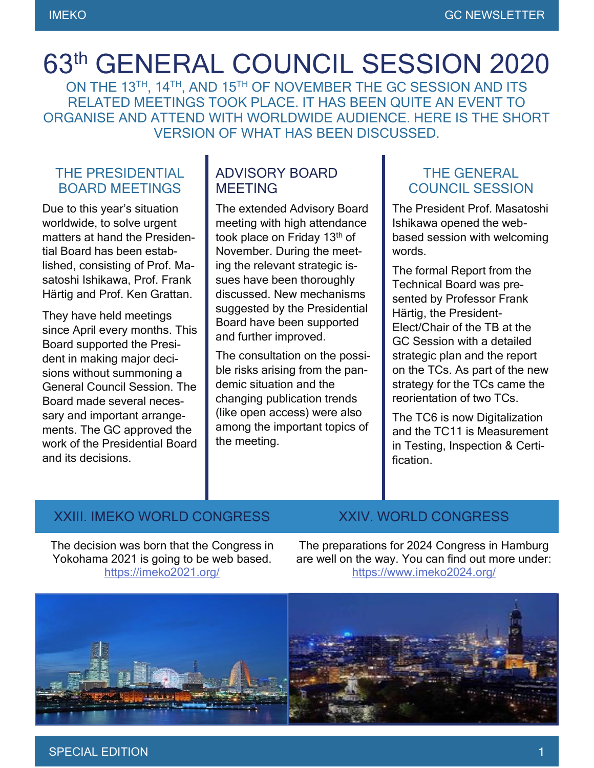# 63th GENERAL COUNCIL SESSION 2020

ON THE 13TH, 14TH, AND 15TH OF NOVEMBER THE GC SESSION AND ITS RELATED MEETINGS TOOK PLACE. IT HAS BEEN QUITE AN EVENT TO ORGANISE AND ATTEND WITH WORLDWIDE AUDIENCE. HERE IS THE SHORT VERSION OF WHAT HAS BEEN DISCUSSED.

#### THE PRESIDENTIAL BOARD MEETINGS

Due to this year's situation worldwide, to solve urgent matters at hand the Presidential Board has been established, consisting of Prof. Masatoshi Ishikawa, Prof. Frank Härtig and Prof. Ken Grattan.

They have held meetings since April every months. This Board supported the President in making major decisions without summoning a General Council Session. The Board made several necessary and important arrangements. The GC approved the work of the Presidential Board and its decisions.

#### ADVISORY BOARD MEETING

The extended Advisory Board meeting with high attendance took place on Friday 13<sup>th</sup> of November. During the meeting the relevant strategic issues have been thoroughly discussed. New mechanisms suggested by the Presidential Board have been supported and further improved.

The consultation on the possible risks arising from the pandemic situation and the changing publication trends (like open access) were also among the important topics of the meeting.

#### THE GENERAL COUNCIL SESSION

The President Prof. Masatoshi Ishikawa opened the webbased session with welcoming words.

The formal Report from the Technical Board was presented by Professor Frank Härtig, the President-Elect/Chair of the TB at the GC Session with a detailed strategic plan and the report on the TCs. As part of the new strategy for the TCs came the reorientation of two TCs.

The TC6 is now Digitalization and the TC11 is Measurement in Testing, Inspection & Certification.

### XXIII. IMEKO WORLD CONGRESS XXIV. WORLD CONGRESS

The decision was born that the Congress in Yokohama 2021 is going to be web based. <https://imeko2021.org/>

The preparations for 2024 Congress in Hamburg are well on the way. You can find out more under: <https://www.imeko2024.org/>



#### SPECIAL EDITION 1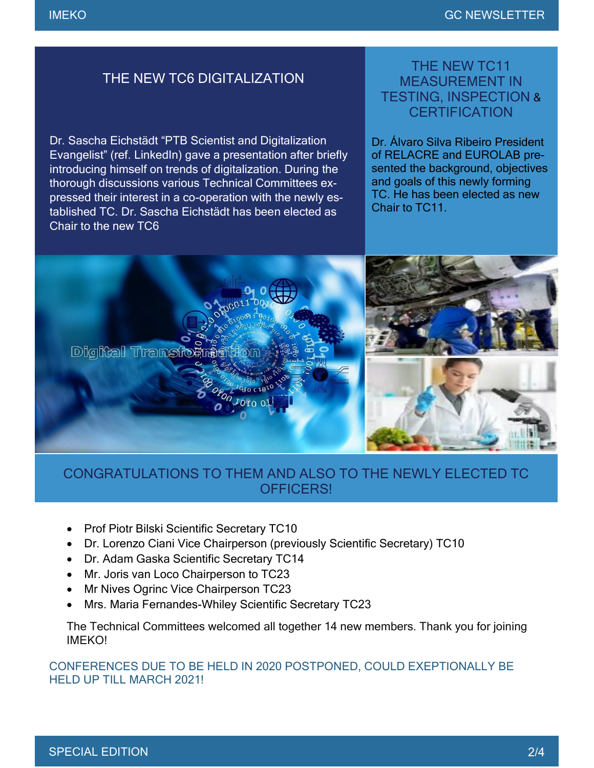#### THE NEW TC6 DIGITALIZATION

Dr. Sascha Eichstädt "PTB Scientist and Digitalization Evangelist" (ref. LinkedIn) gave a presentation after briefly introducing himself on trends of digitalization. During the thorough discussions various Technical Committees expressed their interest in a co-operation with the newly established TC. Dr. Sascha Eichstädt has been elected as Chair to the new TC6

#### THE NEW TC11 MEASUREMENT IN TESTING, INSPECTION & **CERTIFICATION**

Dr. Álvaro Silva Ribeiro President of RELACRE and EUROLAB presented the background, objectives and goals of this newly forming TC. He has been elected as new Chair to TC11



#### CONGRATULATIONS TO THEM AND ALSO TO THE NEWLY ELECTED TC OFFICERS!

- **Prof Piotr Bilski Scientific Secretary TC10**
- Dr. Lorenzo Ciani Vice Chairperson (previously Scientific Secretary) TC10
- Dr. Adam Gaska Scientific Secretary TC14
- Mr. Joris van Loco Chairperson to TC23
- Mr Nives Ogrinc Vice Chairperson TC23
- Mrs. Maria Fernandes-Whiley Scientific Secretary TC23

The Technical Committees welcomed all together 14 new members. Thank you for joining IMEKO!

CONFERENCES DUE TO BE HELD IN 2020 POSTPONED, COULD EXEPTIONALLY BE HELD UP TILL MARCH 2021!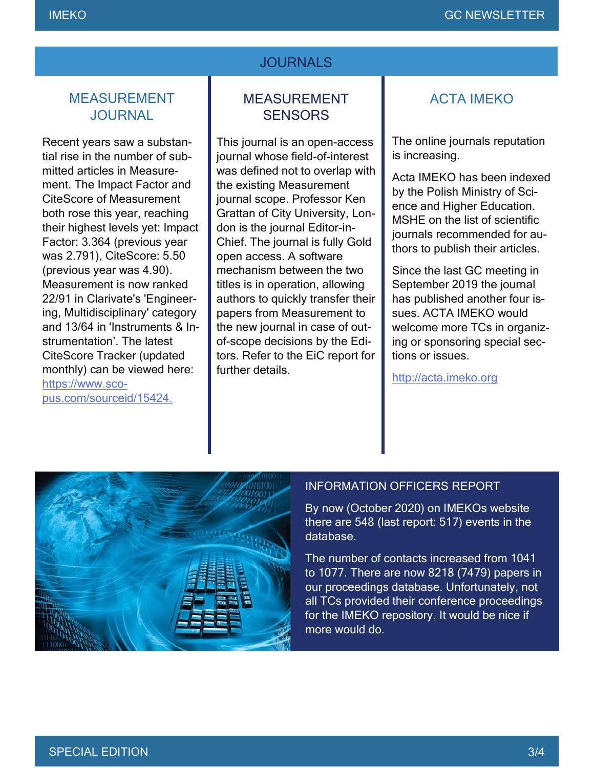#### **JOURNALS**

#### MEASUREMENT **JOURNAL**

Recent years saw a substantial rise in the number of submitted articles in Measurement. The Impact Factor and CiteScore of Measurement both rose this year, reaching their highest levels yet: Impact Factor: 3.364 (previous year was 2.791), CiteScore: 5.50 (previous year was 4.90). Measurement is now ranked 22/91 in Clarivate's 'Engineering, Multidisciplinary' category and 13/64 in 'Instruments & Instrumentation'. The latest CiteScore Tracker (updated monthly) can be viewed here: [https://www.sco](https://www.scopus.com/sourceid/15424)[pus.com/sourceid/15424.](https://www.scopus.com/sourceid/15424)

#### MEASUREMENT **SENSORS**

This journal is an open-access journal whose field-of-interest was defined not to overlap with the existing Measurement journal scope. Professor Ken Grattan of City University, London is the journal Editor-in-Chief. The journal is fully Gold open access. A software mechanism between the two titles is in operation, allowing authors to quickly transfer their papers from Measurement to the new journal in case of outof-scope decisions by the Editors. Refer to the EiC report for further details.

#### ACTA IMEKO

The online journals reputation is increasing.

Acta IMEKO has been indexed by the Polish Ministry of Science and Higher Education. MSHE on the list of scientific journals recommended for authors to publish their articles.

Since the last GC meeting in September 2019 the journal has published another four issues. ACTA IMEKO would welcome more TCs in organizing or sponsoring special sections or issues.

[http://acta.imeko.org](http://acta.imeko.org/)



#### INFORMATION OFFICERS REPORT

By now (October 2020) on IMEKOs website there are 548 (last report: 517) events in the database.

The number of contacts increased from 1041 to 1077. There are now 8218 (7479) papers in our proceedings database. Unfortunately, not all TCs provided their conference proceedings for the IMEKO repository. It would be nice if more would do.

 $\overline{\phantom{a}}$